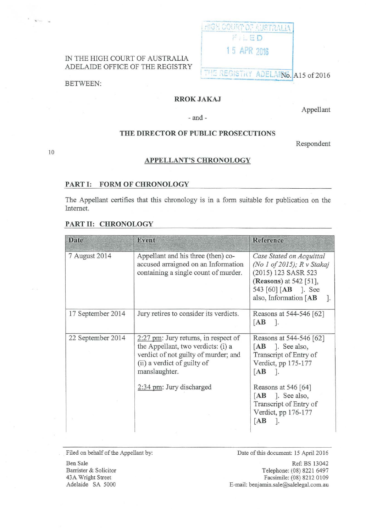

# ADELAIDE OFFICE OF THE REGISTRY

BETWEEN:

10

 $\mathbf{v}=-\mathbf{v}$ 

## **RROK JAKAJ**

Appellant

## **THE DIRECTOR OF PUBLIC PROSECUTIONS**

-and-

Respondent

## **APPELLANT'S CHRONOLOGY**

#### **PART 1: FORM OF CHRONOLOGY**

The Appellant certifies that this chronology is in a form suitable for publication on the Internet.

### **PART II: CHRONOLOGY**

| <b>Date</b>       | <b>Event</b>                                                                                                                                                         | <b>Reference</b>                                                                                                                                        |
|-------------------|----------------------------------------------------------------------------------------------------------------------------------------------------------------------|---------------------------------------------------------------------------------------------------------------------------------------------------------|
| 7 August 2014     | Appellant and his three (then) co-<br>accused arraigned on an Information<br>containing a single count of murder.                                                    | Case Stated on Acquittal<br>(No 1 of 2015); R v Stakaj<br>(2015) 123 SASR 523<br>(Reasons) at 542 [51],<br>543 [60] [AB ]. See<br>also, Information [AB |
| 17 September 2014 | Jury retires to consider its verdicts.                                                                                                                               | Reasons at 544-546 [62]<br>[AB]<br>$\overline{\phantom{a}}$                                                                                             |
| 22 September 2014 | $2:27$ pm: Jury returns, in respect of<br>the Appellant, two verdicts: (i) a<br>verdict of not guilty of murder; and<br>(ii) a verdict of guilty of<br>manslaughter. | Reasons at 544-546 [62]<br>$[AB]$ ]. See also,<br>Transcript of Entry of<br>Verdict, pp 175-177<br>[AB]<br>$\mathbb{R}$                                 |
|                   | 2:34 pm: Jury discharged                                                                                                                                             | Reasons at 546 [64]<br>$[AB]$ ]. See also,<br>Transcript of Entry of<br>Verdict, pp 176-177<br>[AB]                                                     |

Filed on behalf of the Appellant by:

Date of this document: 15 April 2016

Ref: BS 13042 Telephone: (08) 8221 6497 Facsimile: (08) 8212 0109 E-mail: benjamin.sale@salelegal.com.au

Ben Sale Barrister & Solicitor 43A Wright Street Adelaide SA 5000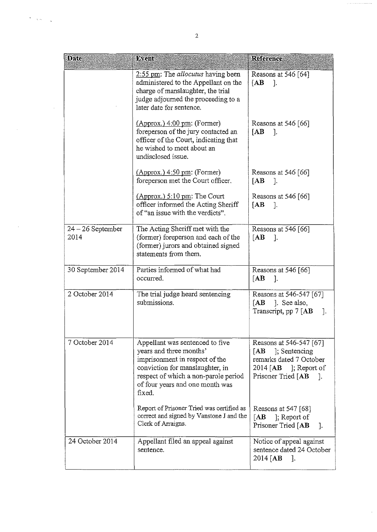| <b>Date</b>                 | Event                                                                                                                                                                                                                | Reference                                                                                                                                      |
|-----------------------------|----------------------------------------------------------------------------------------------------------------------------------------------------------------------------------------------------------------------|------------------------------------------------------------------------------------------------------------------------------------------------|
|                             | 2:55 pm: The <i>allocutus</i> having been<br>administered to the Appellant on the<br>charge of manslaughter, the trial<br>judge adjourned the proceeding to a<br>later date for sentence.                            | Reasons at 546 [64]<br>[AB]<br>ा.                                                                                                              |
|                             | $(\text{Approx.})$ 4:00 pm: (Former)<br>foreperson of the jury contacted an<br>officer of the Court, indicating that<br>he wished to meet about an<br>undisclosed issue.                                             | Reasons at 546 [66]<br>[AB]<br>-1.                                                                                                             |
|                             | $(Approx.)$ 4:50 pm: (Former)<br>foreperson met the Court officer.                                                                                                                                                   | Reasons at 546 $[66]$<br>[AB]<br>- 1.                                                                                                          |
|                             | $(\text{Approx.})$ 5:10 pm: The Court<br>officer informed the Acting Sheriff<br>of "an issue with the verdicts".                                                                                                     | Reasons at 546 [66]<br>[AB]<br>$\cdot$                                                                                                         |
| $24 - 26$ September<br>2014 | The Acting Sheriff met with the<br>(former) foreperson and each of the<br>(former) jurors and obtained signed<br>statements from them.                                                                               | Reasons at 546 [66]<br>[AB]<br><sup>1.</sup>                                                                                                   |
| 30 September 2014           | Parties informed of what had<br>occurred.                                                                                                                                                                            | Reasons at 546 [66]<br>$\begin{bmatrix} \mathbf{A} \mathbf{B} \end{bmatrix}$<br>- T.                                                           |
| 2 October 2014              | The trial judge heard sentencing<br>submissions.                                                                                                                                                                     | Reasons at 546-547 [67]<br>[AB]<br>1. See also,<br>Transcript, pp 7 [AB<br>$\cdot$                                                             |
| 7 October 2014              | Appellant was sentenced to five<br>years and three months'<br>imprisonment in respect of the<br>conviction for manslaughter, in<br>respect of which a non-parole period<br>of four years and one month was<br>fixed. | Reasons at 546-547 [67]<br>[AB ]; Sentencing<br>remarks dated 7 October<br>2014 [ $\mathbf{AB}$ ]; Report of<br>Prisoner Tried [AB<br>$\Box$ . |
|                             | Report of Prisoner Tried was certified as<br>correct and signed by Vanstone J and the<br>Clerk of Arraigns.                                                                                                          | Reasons at 547 [68]<br>[AB]<br>$\vert$ ; Report of<br>Prisoner Tried [AB<br>$\cdot$                                                            |
| 24 October 2014             | Appellant filed an appeal against<br>sentence.                                                                                                                                                                       | Notice of appeal against<br>sentence dated 24 October<br>$2014$ [AB<br>1.                                                                      |